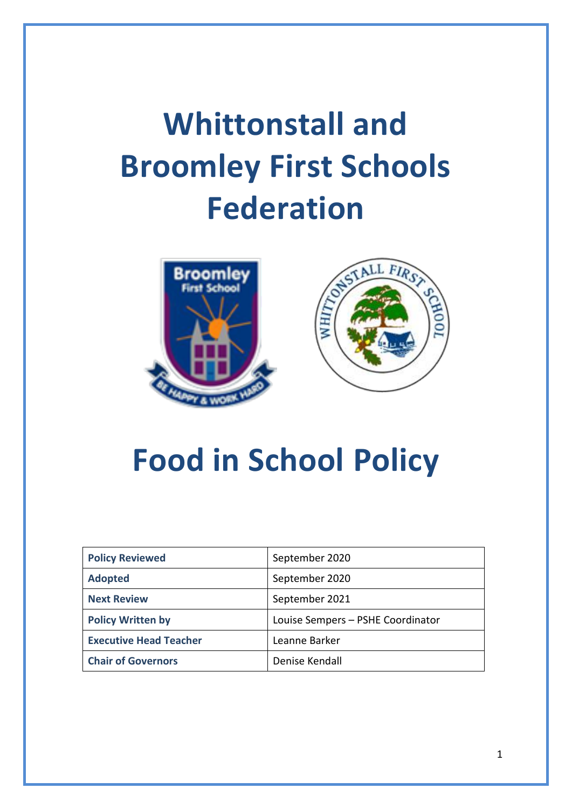# **Whittonstall and Broomley First Schools Federation**



# **Food in School Policy**

| <b>Policy Reviewed</b>        | September 2020                    |
|-------------------------------|-----------------------------------|
| <b>Adopted</b>                | September 2020                    |
| <b>Next Review</b>            | September 2021                    |
| <b>Policy Written by</b>      | Louise Sempers - PSHE Coordinator |
| <b>Executive Head Teacher</b> | Leanne Barker                     |
| <b>Chair of Governors</b>     | Denise Kendall                    |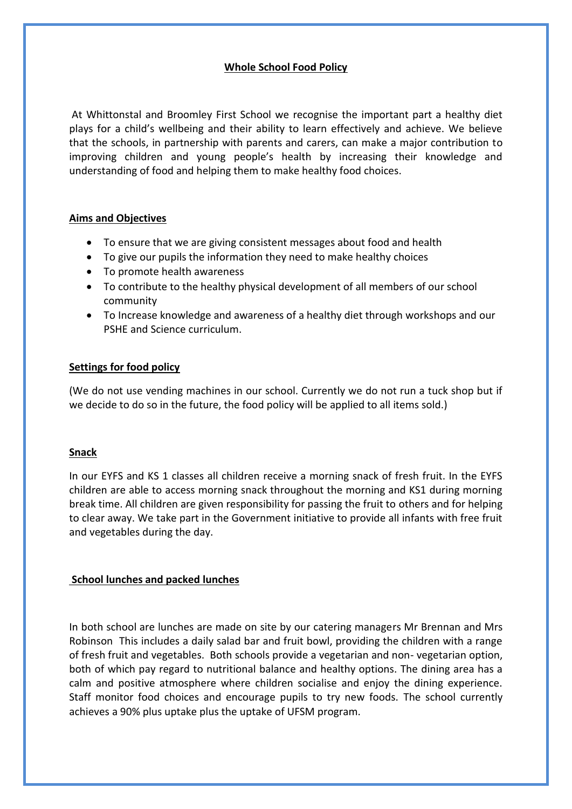# **Whole School Food Policy**

At Whittonstal and Broomley First School we recognise the important part a healthy diet plays for a child's wellbeing and their ability to learn effectively and achieve. We believe that the schools, in partnership with parents and carers, can make a major contribution to improving children and young people's health by increasing their knowledge and understanding of food and helping them to make healthy food choices.

#### **Aims and Objectives**

- To ensure that we are giving consistent messages about food and health
- To give our pupils the information they need to make healthy choices
- To promote health awareness
- To contribute to the healthy physical development of all members of our school community
- To Increase knowledge and awareness of a healthy diet through workshops and our PSHE and Science curriculum.

#### **Settings for food policy**

(We do not use vending machines in our school. Currently we do not run a tuck shop but if we decide to do so in the future, the food policy will be applied to all items sold.)

#### **Snack**

In our EYFS and KS 1 classes all children receive a morning snack of fresh fruit. In the EYFS children are able to access morning snack throughout the morning and KS1 during morning break time. All children are given responsibility for passing the fruit to others and for helping to clear away. We take part in the Government initiative to provide all infants with free fruit and vegetables during the day.

#### **School lunches and packed lunches**

In both school are lunches are made on site by our catering managers Mr Brennan and Mrs Robinson This includes a daily salad bar and fruit bowl, providing the children with a range of fresh fruit and vegetables. Both schools provide a vegetarian and non- vegetarian option, both of which pay regard to nutritional balance and healthy options. The dining area has a calm and positive atmosphere where children socialise and enjoy the dining experience. Staff monitor food choices and encourage pupils to try new foods. The school currently achieves a 90% plus uptake plus the uptake of UFSM program.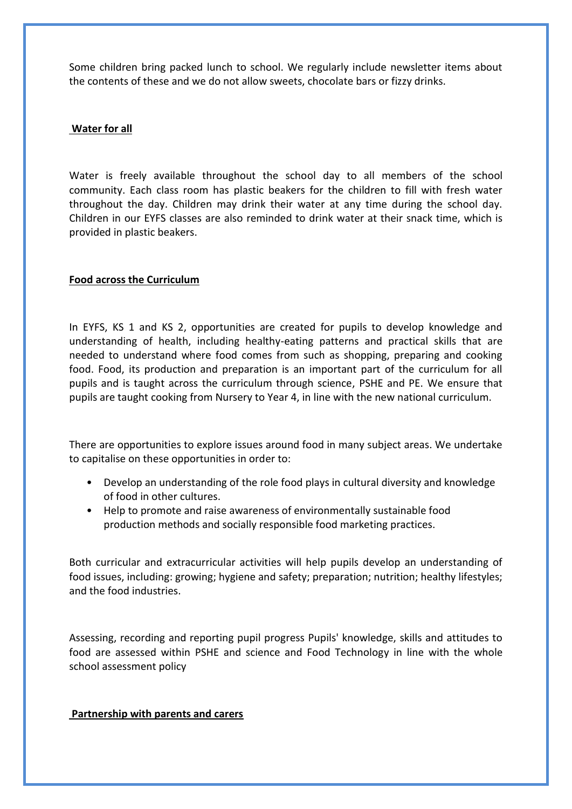Some children bring packed lunch to school. We regularly include newsletter items about the contents of these and we do not allow sweets, chocolate bars or fizzy drinks.

#### **Water for all**

Water is freely available throughout the school day to all members of the school community. Each class room has plastic beakers for the children to fill with fresh water throughout the day. Children may drink their water at any time during the school day. Children in our EYFS classes are also reminded to drink water at their snack time, which is provided in plastic beakers.

#### **Food across the Curriculum**

In EYFS, KS 1 and KS 2, opportunities are created for pupils to develop knowledge and understanding of health, including healthy-eating patterns and practical skills that are needed to understand where food comes from such as shopping, preparing and cooking food. Food, its production and preparation is an important part of the curriculum for all pupils and is taught across the curriculum through science, PSHE and PE. We ensure that pupils are taught cooking from Nursery to Year 4, in line with the new national curriculum.

There are opportunities to explore issues around food in many subject areas. We undertake to capitalise on these opportunities in order to:

- Develop an understanding of the role food plays in cultural diversity and knowledge of food in other cultures.
- Help to promote and raise awareness of environmentally sustainable food production methods and socially responsible food marketing practices.

Both curricular and extracurricular activities will help pupils develop an understanding of food issues, including: growing; hygiene and safety; preparation; nutrition; healthy lifestyles; and the food industries.

Assessing, recording and reporting pupil progress Pupils' knowledge, skills and attitudes to food are assessed within PSHE and science and Food Technology in line with the whole school assessment policy

#### **Partnership with parents and carers**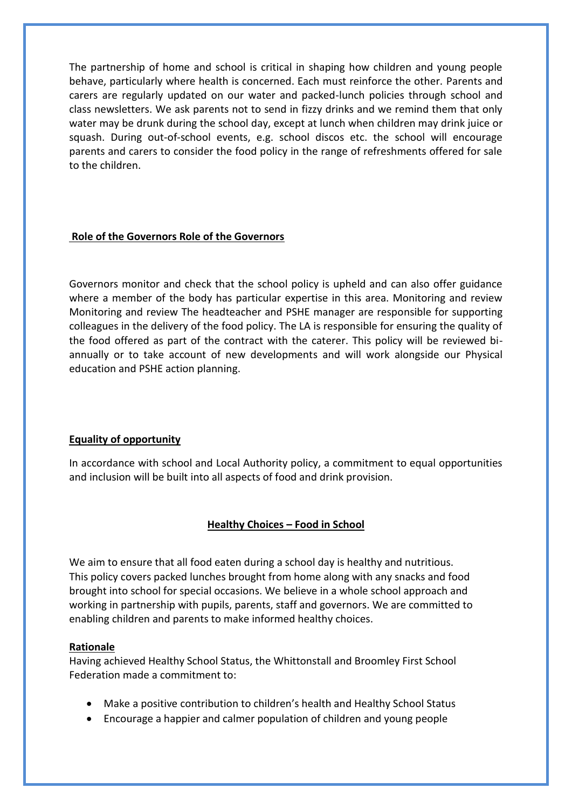The partnership of home and school is critical in shaping how children and young people behave, particularly where health is concerned. Each must reinforce the other. Parents and carers are regularly updated on our water and packed-lunch policies through school and class newsletters. We ask parents not to send in fizzy drinks and we remind them that only water may be drunk during the school day, except at lunch when children may drink juice or squash. During out-of-school events, e.g. school discos etc. the school will encourage parents and carers to consider the food policy in the range of refreshments offered for sale to the children.

#### **Role of the Governors Role of the Governors**

Governors monitor and check that the school policy is upheld and can also offer guidance where a member of the body has particular expertise in this area. Monitoring and review Monitoring and review The headteacher and PSHE manager are responsible for supporting colleagues in the delivery of the food policy. The LA is responsible for ensuring the quality of the food offered as part of the contract with the caterer. This policy will be reviewed biannually or to take account of new developments and will work alongside our Physical education and PSHE action planning.

# **Equality of opportunity**

In accordance with school and Local Authority policy, a commitment to equal opportunities and inclusion will be built into all aspects of food and drink provision.

# **Healthy Choices – Food in School**

We aim to ensure that all food eaten during a school day is healthy and nutritious. This policy covers packed lunches brought from home along with any snacks and food brought into school for special occasions. We believe in a whole school approach and working in partnership with pupils, parents, staff and governors. We are committed to enabling children and parents to make informed healthy choices.

#### **Rationale**

Having achieved Healthy School Status, the Whittonstall and Broomley First School Federation made a commitment to:

- Make a positive contribution to children's health and Healthy School Status
- Encourage a happier and calmer population of children and young people